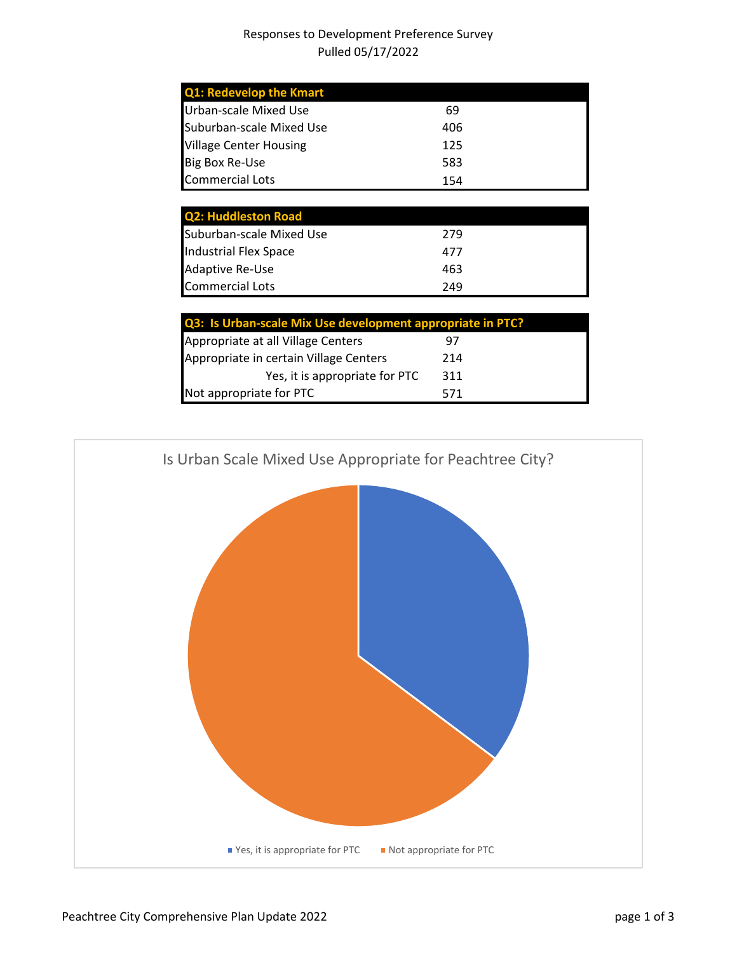## Responses to Development Preference Survey Pulled 05/17/2022

| <b>Q1: Redevelop the Kmart</b> |     |
|--------------------------------|-----|
| Urban-scale Mixed Use          | 69  |
| Suburban-scale Mixed Use       | 406 |
| <b>Village Center Housing</b>  | 125 |
| <b>Big Box Re-Use</b>          | 583 |
| <b>Commercial Lots</b>         | 154 |

| <b>Q2: Huddleston Road</b>   |     |
|------------------------------|-----|
| Suburban-scale Mixed Use     | 279 |
| <b>Industrial Flex Space</b> | 477 |
| Adaptive Re-Use              | 463 |
| <b>Commercial Lots</b>       | 249 |

| Q3: Is Urban-scale Mix Use development appropriate in PTC? |  |  |
|------------------------------------------------------------|--|--|
| 97                                                         |  |  |
| 214                                                        |  |  |
| 311                                                        |  |  |
| 571                                                        |  |  |
|                                                            |  |  |

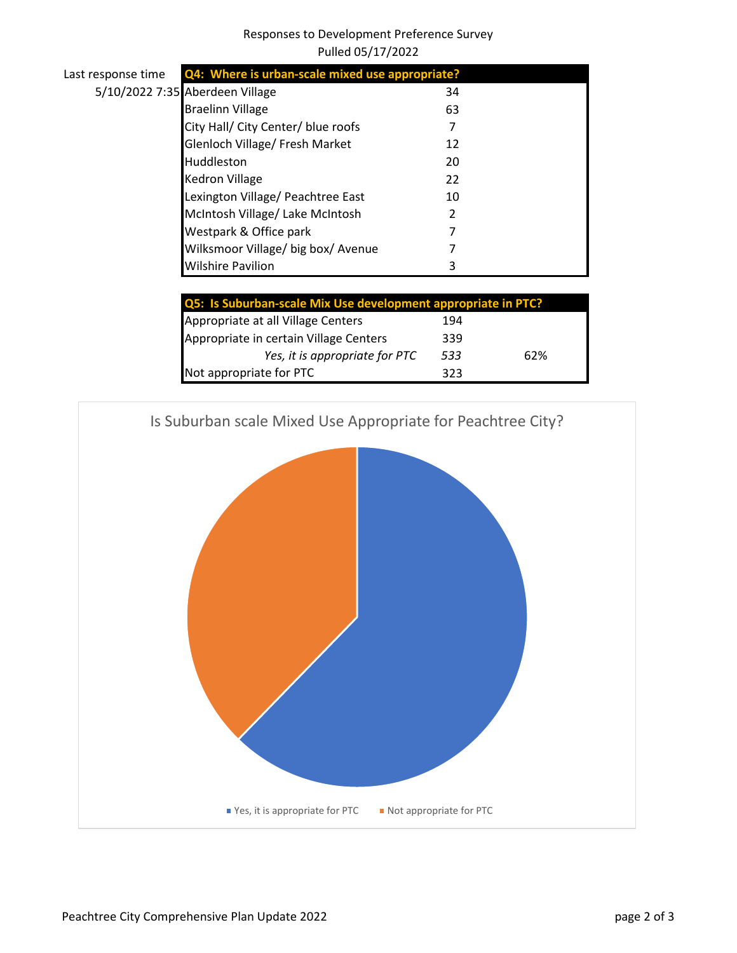## Responses to Development Preference Survey Pulled 05/17/2022

| Last response time | Q4: Where is urban-scale mixed use appropriate?          |    |  |
|--------------------|----------------------------------------------------------|----|--|
|                    | 5/10/2022 7:35 Aberdeen Village                          | 34 |  |
|                    | <b>Braelinn Village</b>                                  | 63 |  |
|                    | City Hall/ City Center/ blue roofs                       |    |  |
|                    | Glenloch Village/ Fresh Market                           | 12 |  |
|                    | Huddleston                                               | 20 |  |
|                    | <b>Kedron Village</b>                                    | 22 |  |
|                    | Lexington Village/ Peachtree East                        | 10 |  |
|                    | McIntosh Village/ Lake McIntosh                          |    |  |
|                    | Westpark & Office park                                   |    |  |
|                    | Wilksmoor Village/ big box/ Avenue                       |    |  |
|                    | <b>Wilshire Pavilion</b>                                 |    |  |
|                    |                                                          |    |  |
|                    | OF: le Cuburkan ceale Miviles doualanment annuanciate in |    |  |

| Q5: Is Suburban-scale Mix Use development appropriate in PTC? |     |     |
|---------------------------------------------------------------|-----|-----|
| Appropriate at all Village Centers                            | 194 |     |
| Appropriate in certain Village Centers                        | 339 |     |
| Yes, it is appropriate for PTC                                | 533 | 62% |
| Not appropriate for PTC                                       | 323 |     |